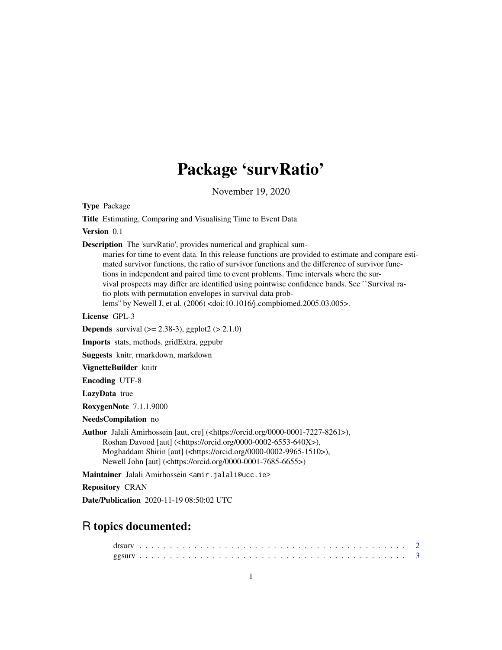## Package 'survRatio'

November 19, 2020

<span id="page-0-0"></span>Type Package

Title Estimating, Comparing and Visualising Time to Event Data

Version 0.1

Description The 'survRatio', provides numerical and graphical sum-

maries for time to event data. In this release functions are provided to estimate and compare estimated survivor functions, the ratio of survivor functions and the difference of survivor functions in independent and paired time to event problems. Time intervals where the survival prospects may differ are identified using pointwise confidence bands. See ``Survival ratio plots with permutation envelopes in survival data problems'' by Newell J, et al. (2006) <doi:10.1016/j.compbiomed.2005.03.005>.

License GPL-3

**Depends** survival  $(>= 2.38-3)$ , ggplot2  $(>= 2.1.0)$ 

Imports stats, methods, gridExtra, ggpubr

Suggests knitr, rmarkdown, markdown

VignetteBuilder knitr

Encoding UTF-8

LazyData true

RoxygenNote 7.1.1.9000

NeedsCompilation no

Author Jalali Amirhossein [aut, cre] (<https://orcid.org/0000-0001-7227-8261>), Roshan Davood [aut] (<https://orcid.org/0000-0002-6553-640X>), Moghaddam Shirin [aut] (<https://orcid.org/0000-0002-9965-1510>), Newell John [aut] (<https://orcid.org/0000-0001-7685-6655>)

Maintainer Jalali Amirhossein <amir.jalali@ucc.ie>

Repository CRAN

Date/Publication 2020-11-19 08:50:02 UTC

### R topics documented: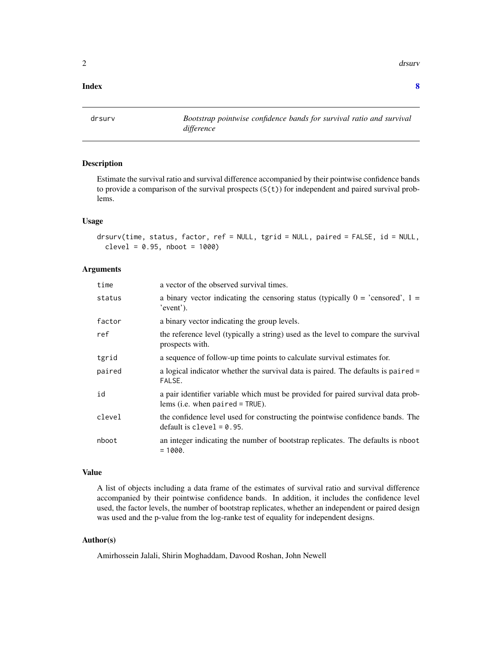<span id="page-1-0"></span> $2<sup>2</sup>$ 

#### **Index** [8](#page-7-0) **8**

<span id="page-1-1"></span>drsurv *Bootstrap pointwise confidence bands for survival ratio and survival difference*

#### Description

Estimate the survival ratio and survival difference accompanied by their pointwise confidence bands to provide a comparison of the survival prospects (S(t)) for independent and paired survival problems.

#### Usage

```
drsurv(time, status, factor, ref = NULL, tgrid = NULL, paired = FALSE, id = NULL,
 clevel = 0.95, nboot = 1000
```
#### Arguments

| time   | a vector of the observed survival times.                                                                               |
|--------|------------------------------------------------------------------------------------------------------------------------|
| status | a binary vector indicating the censoring status (typically $0 = 'censored', 1 =$<br>'event').                          |
| factor | a binary vector indicating the group levels.                                                                           |
| ref    | the reference level (typically a string) used as the level to compare the survival<br>prospects with.                  |
| tgrid  | a sequence of follow-up time points to calculate survival estimates for.                                               |
| paired | a logical indicator whether the survival data is paired. The defaults is paired =<br>FALSE.                            |
| id     | a pair identifier variable which must be provided for paired survival data prob-<br>lems (i.e. when $paired = TRUE$ ). |
| clevel | the confidence level used for constructing the pointwise confidence bands. The<br>default is clevel $= 0.95$ .         |
| nboot  | an integer indicating the number of bootstrap replicates. The defaults is nboot<br>$= 1000.$                           |
|        |                                                                                                                        |

#### Value

A list of objects including a data frame of the estimates of survival ratio and survival difference accompanied by their pointwise confidence bands. In addition, it includes the confidence level used, the factor levels, the number of bootstrap replicates, whether an independent or paired design was used and the p-value from the log-ranke test of equality for independent designs.

#### Author(s)

Amirhossein Jalali, Shirin Moghaddam, Davood Roshan, John Newell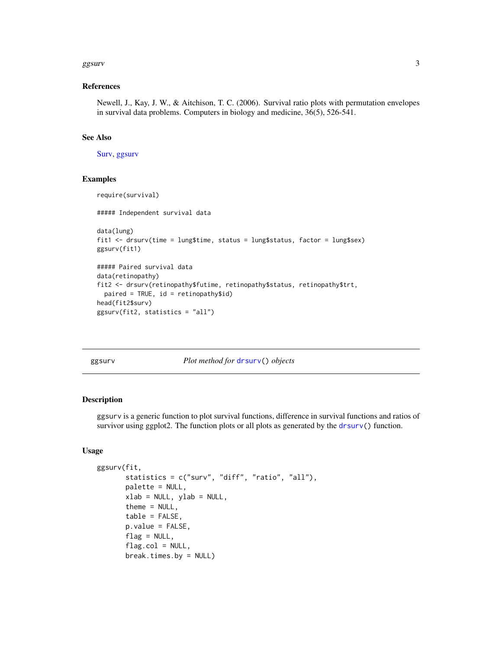#### <span id="page-2-0"></span>ggsurv $\sim$  3

#### References

Newell, J., Kay, J. W., & Aitchison, T. C. (2006). Survival ratio plots with permutation envelopes in survival data problems. Computers in biology and medicine, 36(5), 526-541.

#### See Also

[Surv,](#page-0-0) [ggsurv](#page-2-1)

#### Examples

```
require(survival)
##### Independent survival data
data(lung)
fit1 <- drsurv(time = lung$time, status = lung$status, factor = lung$sex)
ggsurv(fit1)
##### Paired survival data
data(retinopathy)
fit2 <- drsurv(retinopathy$futime, retinopathy$status, retinopathy$trt,
 paired = TRUE, id = retinopathy$id)
head(fit2$surv)
ggsurv(fit2, statistics = "all")
```
<span id="page-2-1"></span>

ggsurv *Plot method for* [drsurv\(](#page-1-1)) *objects*

#### Description

ggsurv is a generic function to plot survival functions, difference in survival functions and ratios of survivor using ggplot2. The function plots or all plots as generated by the  $dr s$ urv() function.

#### Usage

```
ggsurv(fit,
       statistics = c("surv", "diff", "ratio", "all"),
       palette = NULL,
       xlab = NULL, ylab = NULL,theme = NULL,
       table = FALSE,
       p.value = FALSE,
       flag = NULL,flag.col = NULL,break.times.by = NULL)
```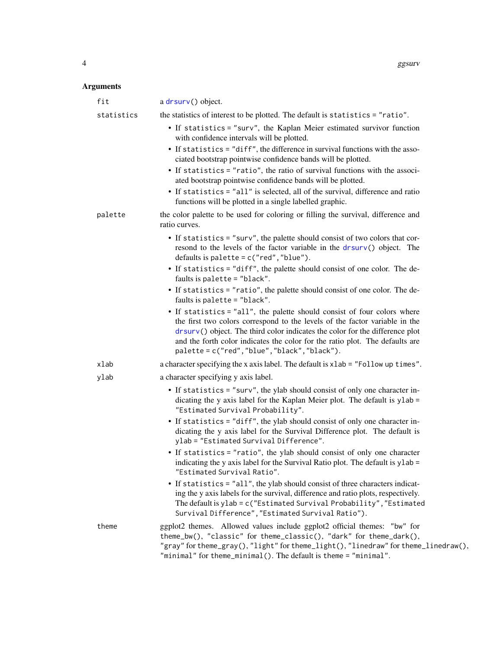#### Arguments

| fit        | a drsurv() object.                                                                                                                                                                                                                                                                                                                                                       |
|------------|--------------------------------------------------------------------------------------------------------------------------------------------------------------------------------------------------------------------------------------------------------------------------------------------------------------------------------------------------------------------------|
| statistics | the statistics of interest to be plotted. The default is statistics = "ratio".                                                                                                                                                                                                                                                                                           |
|            | • If statistics = "surv", the Kaplan Meier estimated survivor function<br>with confidence intervals will be plotted.                                                                                                                                                                                                                                                     |
|            | • If statistics = "diff", the difference in survival functions with the asso-<br>ciated bootstrap pointwise confidence bands will be plotted.                                                                                                                                                                                                                            |
|            | • If statistics = "ratio", the ratio of survival functions with the associ-<br>ated bootstrap pointwise confidence bands will be plotted.                                                                                                                                                                                                                                |
|            | • If statistics = "all" is selected, all of the survival, difference and ratio<br>functions will be plotted in a single labelled graphic.                                                                                                                                                                                                                                |
| palette    | the color palette to be used for coloring or filling the survival, difference and<br>ratio curves.                                                                                                                                                                                                                                                                       |
|            | • If statistics = "surv", the palette should consist of two colors that cor-<br>resond to the levels of the factor variable in the drsurv() object. The<br>defaults is palette = $c("red", "blue").$                                                                                                                                                                     |
|            | • If statistics = "diff", the palette should consist of one color. The de-<br>faults is palette = "black".                                                                                                                                                                                                                                                               |
|            | • If statistics = "ratio", the palette should consist of one color. The de-<br>faults is palette = "black".                                                                                                                                                                                                                                                              |
|            | • If statistics = "all", the palette should consist of four colors where<br>the first two colors correspond to the levels of the factor variable in the<br>drsurv() object. The third color indicates the color for the difference plot<br>and the forth color indicates the color for the ratio plot. The defaults are<br>palette = c("red", "blue", "black", "black"). |
| xlab       | a character specifying the x axis label. The default is xlab = "Follow up times".                                                                                                                                                                                                                                                                                        |
| ylab       | a character specifying y axis label.                                                                                                                                                                                                                                                                                                                                     |
|            | • If statistics = "surv", the ylab should consist of only one character in-<br>dicating the y axis label for the Kaplan Meier plot. The default is ylab =<br>"Estimated Survival Probability".                                                                                                                                                                           |
|            | • If statistics = "diff", the ylab should consist of only one character in-<br>dicating the y axis label for the Survival Difference plot. The default is<br>ylab = "Estimated Survival Difference".                                                                                                                                                                     |
|            | • If statistics = "ratio", the ylab should consist of only one character<br>indicating the y axis label for the Survival Ratio plot. The default is y lab =<br>"Estimated Survival Ratio".                                                                                                                                                                               |
|            | • If statistics = "all", the ylab should consist of three characters indicat-<br>ing the y axis labels for the survival, difference and ratio plots, respectively.<br>The default is ylab = c("Estimated Survival Probability", "Estimated<br>Survival Difference", "Estimated Survival Ratio").                                                                         |
| theme      | ggplot2 themes. Allowed values include ggplot2 official themes: "bw" for<br>theme_bw(), "classic" for theme_classic(), "dark" for theme_dark(),<br>"gray" for theme_gray(), "light" for theme_light(), "linedraw" for theme_linedraw(),<br>"minimal" for theme_minimal(). The default is theme = "minimal".                                                              |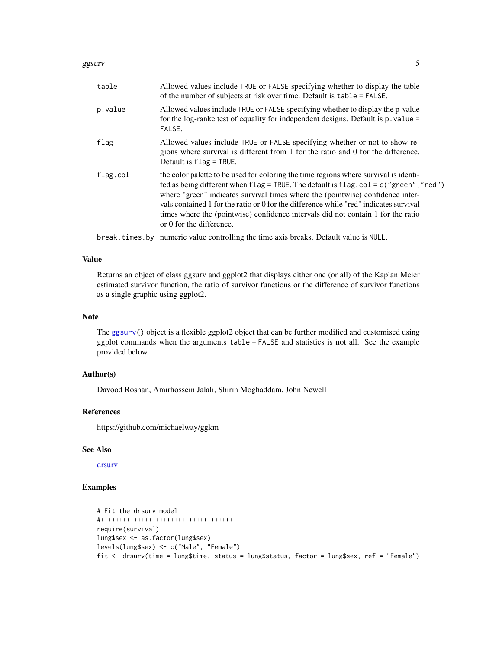#### <span id="page-4-0"></span>ggsurv $\sim$  5

| table    | Allowed values include TRUE or FALSE specifying whether to display the table<br>of the number of subjects at risk over time. Default is table = FALSE.                                                                                                                                                                                                                                                                                                                           |
|----------|----------------------------------------------------------------------------------------------------------------------------------------------------------------------------------------------------------------------------------------------------------------------------------------------------------------------------------------------------------------------------------------------------------------------------------------------------------------------------------|
| p.value  | Allowed values include TRUE or FALSE specifying whether to display the p-value<br>for the log-ranke test of equality for independent designs. Default is $p$ . value =<br>FALSE.                                                                                                                                                                                                                                                                                                 |
| flag     | Allowed values include TRUE or FALSE specifying whether or not to show re-<br>gions where survival is different from 1 for the ratio and 0 for the difference.<br>Default is $flag = TRUE$ .                                                                                                                                                                                                                                                                                     |
| flag.col | the color palette to be used for coloring the time regions where survival is identi-<br>fed as being different when $flag = TRUE$ . The default is $flag$ . $col = c("green", "red")$<br>where "green" indicates survival times where the (pointwise) confidence inter-<br>vals contained 1 for the ratio or 0 for the difference while "red" indicates survival<br>times where the (pointwise) confidence intervals did not contain 1 for the ratio<br>or 0 for the difference. |
|          | break. times by numeric value controlling the time axis breaks. Default value is NULL.                                                                                                                                                                                                                                                                                                                                                                                           |

#### Value

Returns an object of class ggsurv and ggplot2 that displays either one (or all) of the Kaplan Meier estimated survivor function, the ratio of survivor functions or the difference of survivor functions as a single graphic using ggplot2.

#### Note

The [ggsurv\(](#page-2-1)) object is a flexible ggplot2 object that can be further modified and customised using ggplot commands when the arguments table = FALSE and statistics is not all. See the example provided below.

#### Author(s)

Davood Roshan, Amirhossein Jalali, Shirin Moghaddam, John Newell

#### References

https://github.com/michaelway/ggkm

#### See Also

[drsurv](#page-1-1)

#### Examples

```
# Fit the drsurv model
#++++++++++++++++++++++++++++++++++++
require(survival)
lung$sex <- as.factor(lung$sex)
levels(lung$sex) <- c("Male", "Female")
fit <- drsurv(time = lung$time, status = lung$status, factor = lung$sex, ref = "Female")
```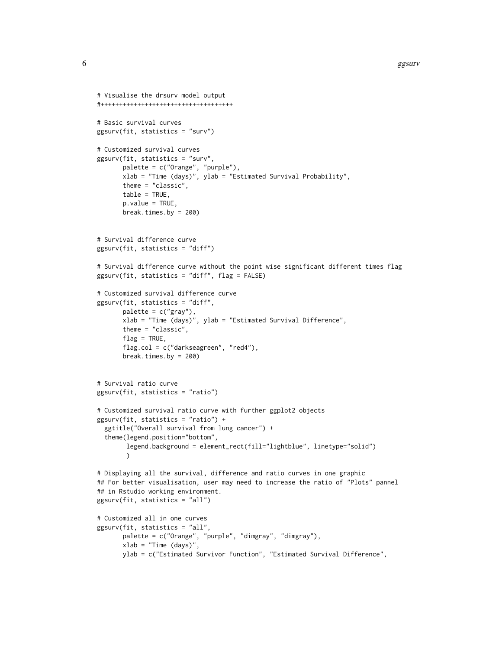```
# Visualise the drsurv model output
#++++++++++++++++++++++++++++++++++++
# Basic survival curves
ggsurv(fit, statistics = "surv")
# Customized survival curves
ggsurv(fit, statistics = "surv",
      palette = c("Orange", "purple"),
      xlab = "Time (days)", ylab = "Estimated Survival Probability",
      theme = "classic",
      table = TRUE,p.value = TRUE,
      break.times.by = 200)
# Survival difference curve
ggsurv(fit, statistics = "diff")
# Survival difference curve without the point wise significant different times flag
ggsurv(fit, statistics = "diff", flag = FALSE)
# Customized survival difference curve
ggsurv(fit, statistics = "diff",
      palette = c("gray"),
      xlab = "Time (days)", ylab = "Estimated Survival Difference",
      theme = "classic",
      flag = TRUE,flag.col = c("darkseagreen", "red4"),
      break.times.by = 200)
# Survival ratio curve
ggsurv(fit, statistics = "ratio")
# Customized survival ratio curve with further ggplot2 objects
ggsurv(fit, statistics = "ratio") +
 ggtitle("Overall survival from lung cancer") +
 theme(legend.position="bottom",
        legend.background = element_rect(fill="lightblue", linetype="solid")
        \mathcal{L}# Displaying all the survival, difference and ratio curves in one graphic
## For better visualisation, user may need to increase the ratio of "Plots" pannel
## in Rstudio working environment.
ggsurv(fit, statistics = "all")
# Customized all in one curves
ggsurv(fit, statistics = "all",
      palette = c("Orange", "purple", "dimgray", "dimgray"),
      xlab = "Time (days)"ylab = c("Estimated Survivor Function", "Estimated Survival Difference",
```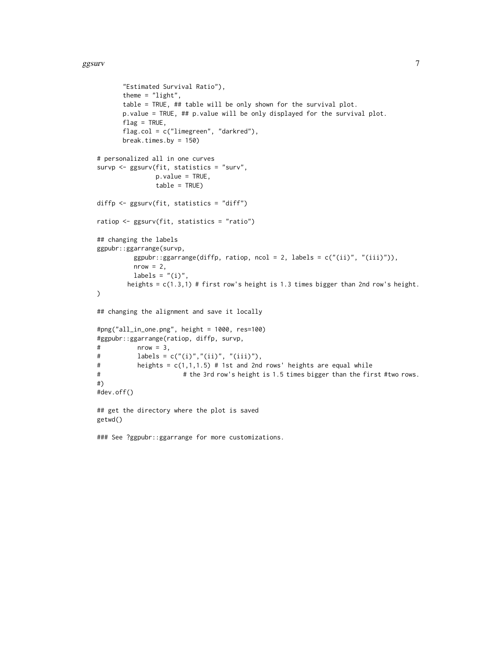#### $ggs$ urv $\,$ 7 $\,$

```
"Estimated Survival Ratio"),
      theme = "light",
      table = TRUE, ## table will be only shown for the survival plot.
      p.value = TRUE, ## p.value will be only displayed for the survival plot.
      flag = TRUE,flag.col = c("limegreen", "darkred"),
      break.times.by = 150)
# personalized all in one curves
survp <- ggsurv(fit, statistics = "surv",
               p.value = TRUE,
               table = TRUE)
diffp <- ggsurv(fit, statistics = "diff")
ratiop <- ggsurv(fit, statistics = "ratio")
## changing the labels
ggpubr::ggarrange(survp,
         ggpubr::ggarrange(dfffp, ratiop, ncol = 2, labels = c("(ii)", "(iii)")),
         nrow = 2,
         labels = "(i)",
        heights = c(1.3,1) # first row's height is 1.3 times bigger than 2nd row's height.
)
## changing the alignment and save it locally
#png("all_in_one.png", height = 1000, res=100)
#ggpubr::ggarrange(ratiop, diffp, survp,
# nrow = 3,
# labels = c("(i)","(ii)", "(iii)"),
# heights = c(1,1,1.5) # 1st and 2nd rows' heights are equal while
# # the 3rd row's height is 1.5 times bigger than the first #two rows.
#)
#dev.off()
## get the directory where the plot is saved
getwd()
### See ?ggpubr::ggarrange for more customizations.
```